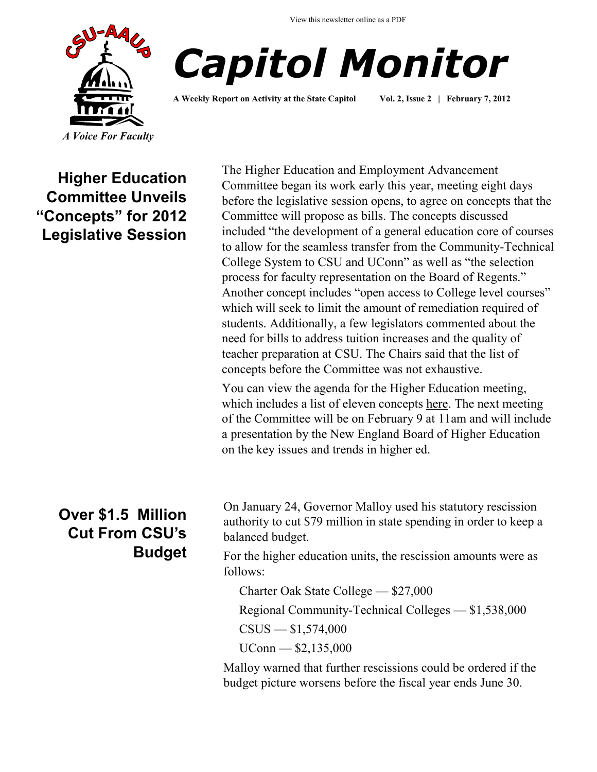



**A Weekly Report on Activity at the State Capitol Vol. 2, Issue 2 | February 7, 2012**

**Higher Education Committee Unveils "Concepts" for 2012 Legislative Session**

> **Over \$1.5 Million Cut From CSU's Budget**

The Higher Education and Employment Advancement Committee began its work early this year, meeting eight days before the legislative session opens, to agree on concepts that the Committee will propose as bills. The concepts discussed included "the development of a general education core of courses to allow for the seamless transfer from the Community-Technical College System to CSU and UConn" as well as "the selection process for faculty representation on the Board of Regents." Another concept includes "open access to College level courses" which will seek to limit the amount of remediation required of students. Additionally, a few legislators commented about the need for bills to address tuition increases and the quality of teacher preparation at CSU. The Chairs said that the list of concepts before the Committee was not exhaustive.

You can view the <u>agenda</u> for the Higher Education meeting, which includes a list of eleven concepts [here.](http://www.cga.ct.gov/2012/HEDdata/ca/2012CA-00131-R001100HED-CA.htm) The next meeting of the Committee will be on February 9 at 11am and will include a presentation by the New England Board of Higher Education on the key issues and trends in higher ed.

On January 24, Governor Malloy used his statutory rescission authority to cut \$79 million in state spending in order to keep a balanced budget.

For the higher education units, the rescission amounts were as follows:

Charter Oak State College — \$27,000

Regional Community-Technical Colleges — \$1,538,000

 $CSUS - $1,574,000$ 

 $UConn - $2,135,000$ 

Malloy warned that further rescissions could be ordered if the budget picture worsens before the fiscal year ends June 30.